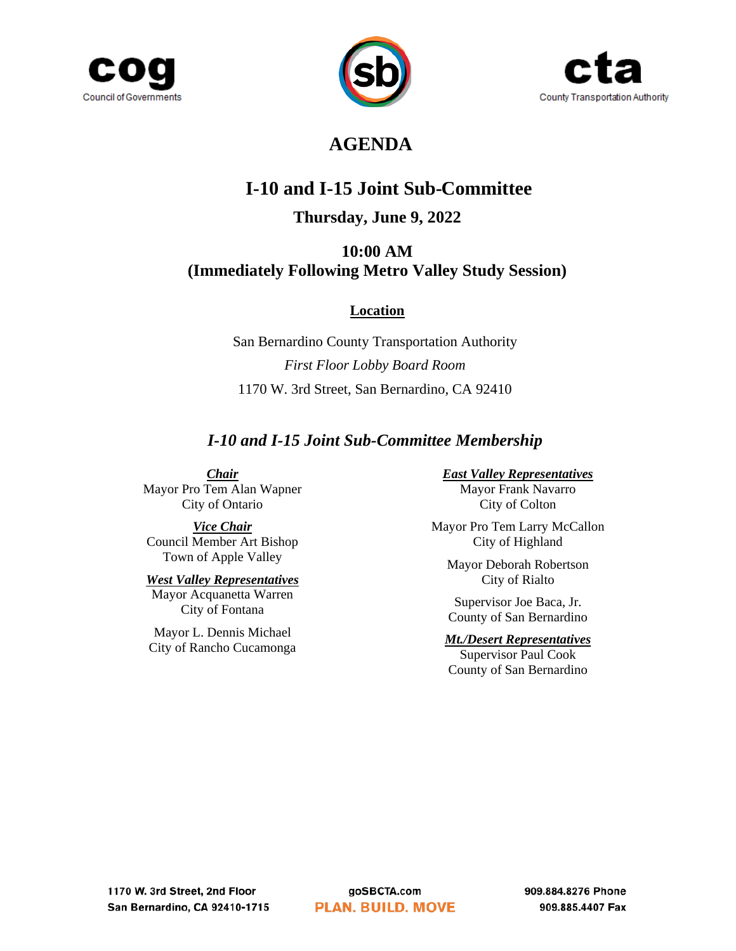





## **AGENDA**

# **I-10 and I-15 Joint Sub-Committee**

## **Thursday, June 9, 2022**

### **10:00 AM (Immediately Following Metro Valley Study Session)**

### **Location**

San Bernardino County Transportation Authority *First Floor Lobby Board Room* 1170 W. 3rd Street, San Bernardino, CA 92410

## *I-10 and I-15 Joint Sub-Committee Membership*

*Chair*

Mayor Pro Tem Alan Wapner City of Ontario

*Vice Chair* Council Member Art Bishop Town of Apple Valley

## *West Valley Representatives*

Mayor Acquanetta Warren City of Fontana

Mayor L. Dennis Michael City of Rancho Cucamonga

#### *East Valley Representatives*

Mayor Frank Navarro City of Colton

Mayor Pro Tem Larry McCallon City of Highland

Mayor Deborah Robertson City of Rialto

Supervisor Joe Baca, Jr. County of San Bernardino

#### *Mt./Desert Representatives*

Supervisor Paul Cook County of San Bernardino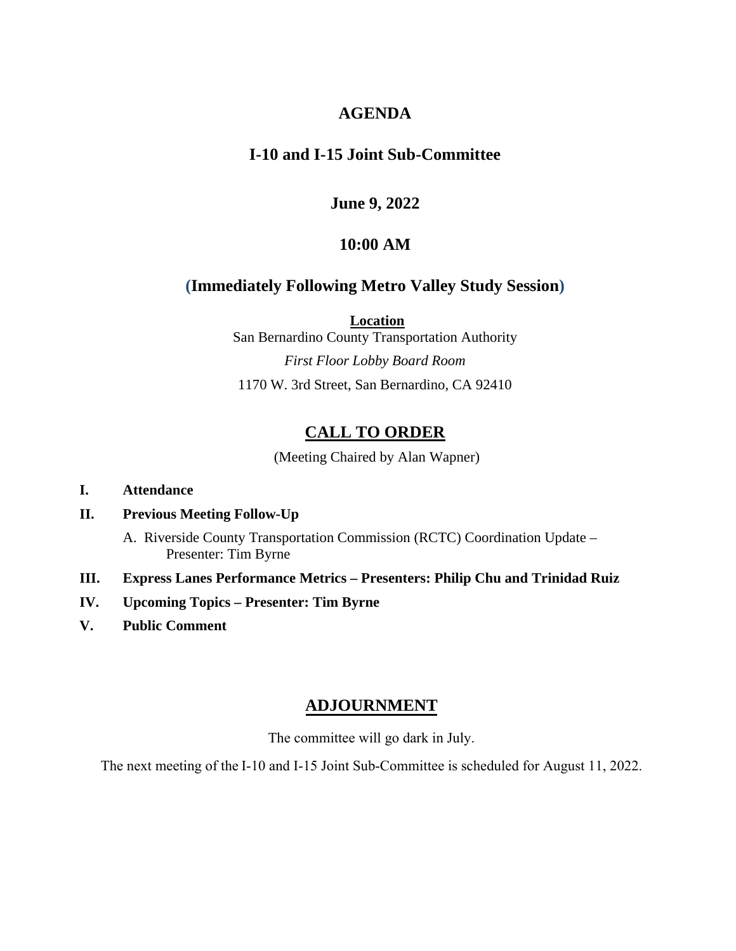### **AGENDA**

### **I-10 and I-15 Joint Sub-Committee**

### **June 9, 2022**

#### **10:00 AM**

### **(Immediately Following Metro Valley Study Session)**

**Location**

San Bernardino County Transportation Authority *First Floor Lobby Board Room*  1170 W. 3rd Street, San Bernardino, CA 92410

## **CALL TO ORDER**

(Meeting Chaired by Alan Wapner)

#### **I. Attendance**

#### **II. Previous Meeting Follow-Up**

A. Riverside County Transportation Commission (RCTC) Coordination Update – Presenter: Tim Byrne

- **III. Express Lanes Performance Metrics Presenters: Philip Chu and Trinidad Ruiz**
- **IV. Upcoming Topics Presenter: Tim Byrne**
- **V. Public Comment**

### **ADJOURNMENT**

The committee will go dark in July.

The next meeting of the I-10 and I-15 Joint Sub-Committee is scheduled for August 11, 2022.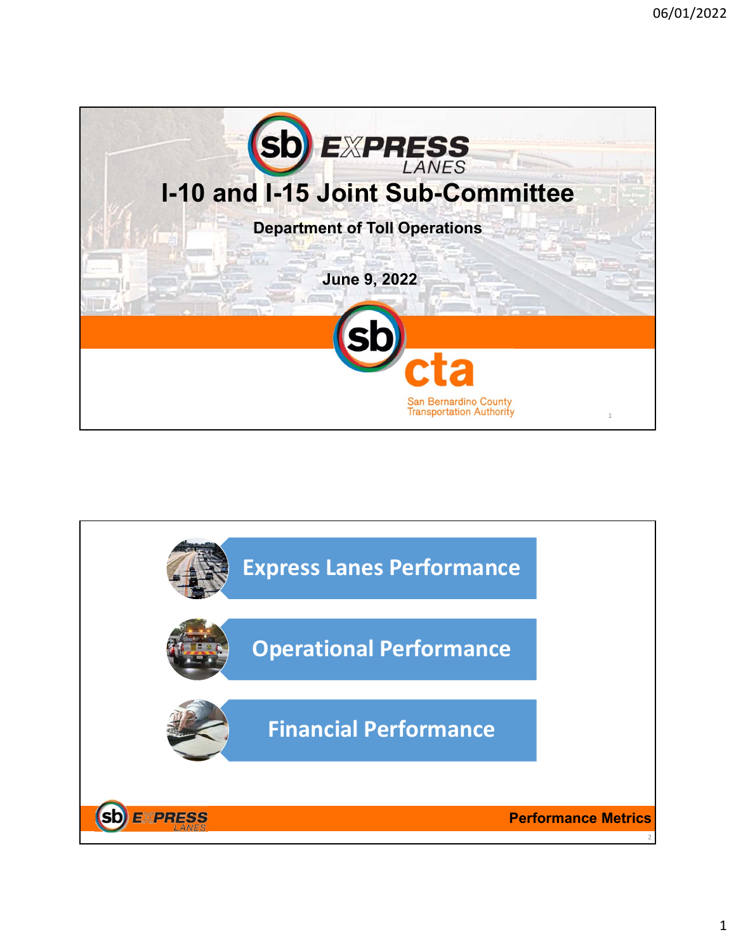

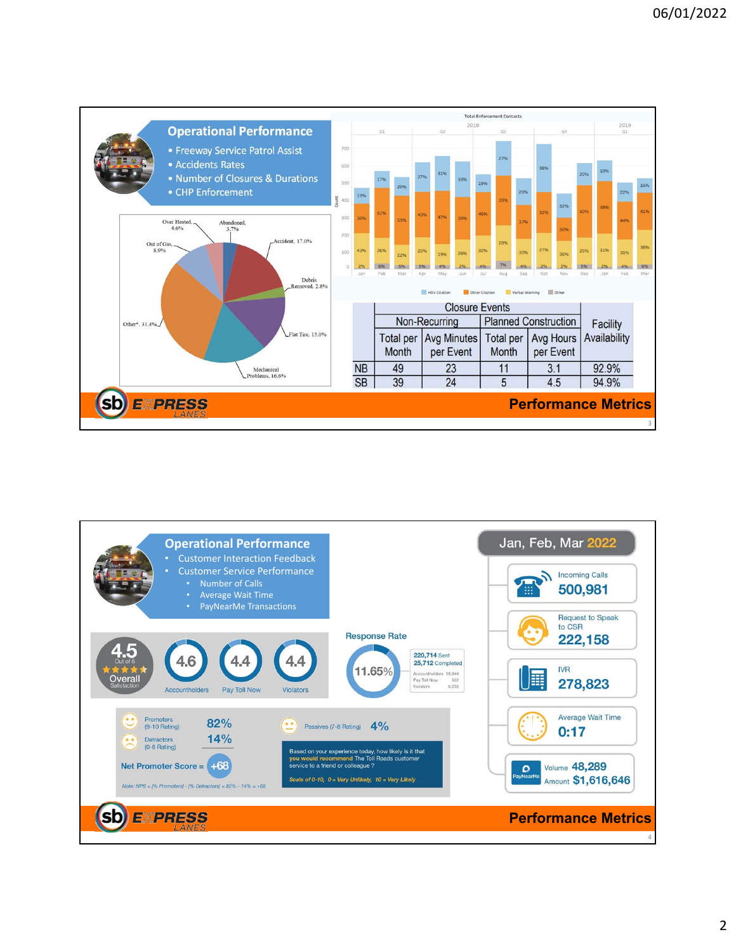

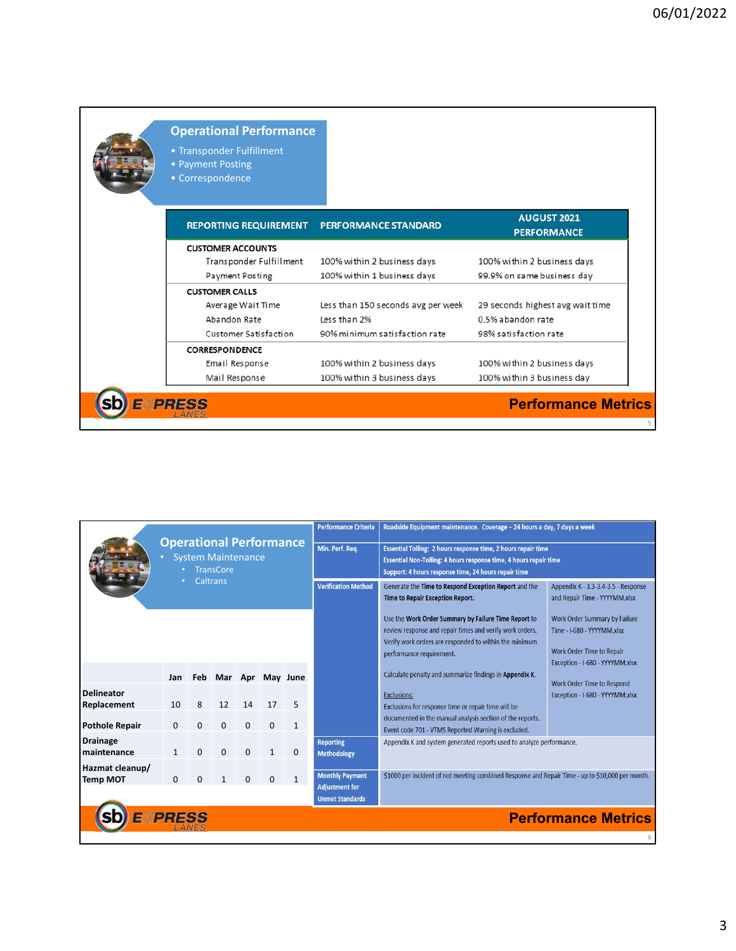| <b>Operational Performance</b><br>• Transponder Fulfillment<br>• Payment Posting<br>• Correspondence |                                    |                                          |  |
|------------------------------------------------------------------------------------------------------|------------------------------------|------------------------------------------|--|
| <b>REPORTING REQUIREMENT</b>                                                                         | <b>PERFORMANCE STANDARD</b>        | <b>AUGUST 2021</b><br><b>PERFORMANCE</b> |  |
| <b>CUSTOMER ACCOUNTS</b>                                                                             |                                    |                                          |  |
| Transponder Fulfillment                                                                              | 100% within 2 business days        | 100% within 2 business days              |  |
| <b>Payment Posting</b>                                                                               | 100% within 1 business days        | 99.9% on same business day               |  |
| <b>CUSTOMER CALLS</b>                                                                                |                                    |                                          |  |
| Average Wait Time                                                                                    | Less than 150 seconds avg per week | 29 seconds highest avg wait time         |  |
| Abandon Rate                                                                                         | Less than 2%                       | 0.5% abandon rate                        |  |
| <b>Customer Satisfaction</b>                                                                         | 90% minimum satisfaction rate      | 98% satisfaction rate                    |  |
| <b>CORRESPONDENCE</b>                                                                                |                                    |                                          |  |
| Email Response                                                                                       | 100% within 2 business days        | 100% within 2 business days              |  |
| Mail Response                                                                                        | 100% within 3 business days        | 100% within 3 business day               |  |
| <b>EXPRESS</b>                                                                                       |                                    | <b>Performance Metrics</b>               |  |

|                                              | <b>Operational Performance</b><br><b>System Maintenance</b><br><b>TransCore</b><br><b>Caltrans</b> |          |          |          |          |                  | <b>Performance Criteria</b>                                                                                    | Roadside Equipment maintenance. Coverage - 24 hours a day, 7 days a week<br>Essential Tolling: 2 hours response time, 2 hours repair time<br>Essential Non-Tolling: 4 hours response time, 4 hours repair time<br>Support: 4 hours response time, 24 hours repair time |                                                                                                                                    |  |  |
|----------------------------------------------|----------------------------------------------------------------------------------------------------|----------|----------|----------|----------|------------------|----------------------------------------------------------------------------------------------------------------|------------------------------------------------------------------------------------------------------------------------------------------------------------------------------------------------------------------------------------------------------------------------|------------------------------------------------------------------------------------------------------------------------------------|--|--|
|                                              |                                                                                                    |          |          |          |          |                  | Min. Perf. Req.                                                                                                |                                                                                                                                                                                                                                                                        |                                                                                                                                    |  |  |
|                                              |                                                                                                    |          |          |          |          |                  | <b>Verification Method</b>                                                                                     | Generate the Time to Respond Exception Report and the<br><b>Time to Repair Exception Report.</b>                                                                                                                                                                       | Appendix K - 3.3-3.4-3.5 - Response<br>and Repair Time - YYYYMM.xlsx                                                               |  |  |
|                                              |                                                                                                    |          |          |          |          |                  |                                                                                                                | Use the Work Order Summary by Failure Time Report to<br>review response and repair times and verify work orders.<br>Verify work orders are responded to within the minimum<br>performance requirement.                                                                 | <b>Work Order Summary by Failure</b><br>Time - I-680 - YYYYMM.xlsx<br>Work Order Time to Repair<br>Exception - I-680 - YYYYMM.xlsx |  |  |
|                                              | Jan                                                                                                | Feb      |          |          |          | Mar Apr May June |                                                                                                                | Calculate penalty and summarize findings in Appendix K.                                                                                                                                                                                                                | Work Order Time to Respond                                                                                                         |  |  |
| <b>Delineator</b><br>Replacement             | 10                                                                                                 | 8        | 12       | 14       | 17       | 5                |                                                                                                                | <b>Exclusions:</b><br>Exclusions for response time or repair time will be                                                                                                                                                                                              | Exception - I-680 - YYYYMM.xlsx                                                                                                    |  |  |
| <b>Pothole Repair</b>                        | $\mathbf 0$                                                                                        | $\Omega$ | $\Omega$ | $\Omega$ | $\Omega$ | 1                |                                                                                                                | documented in the manual analysis section of the reports.<br>Event code 701 - VTMS Reported Warning is excluded.                                                                                                                                                       |                                                                                                                                    |  |  |
| <b>Drainage</b><br>maintenance               |                                                                                                    | $\Omega$ | $\Omega$ | $\Omega$ |          | $\Omega$         | <b>Reporting</b><br>Appendix K and system generated reports used to analyze performance.<br><b>Methodology</b> |                                                                                                                                                                                                                                                                        |                                                                                                                                    |  |  |
| Hazmat cleanup/<br><b>Temp MOT</b>           | $\Omega$                                                                                           | $\Omega$ |          | $\Omega$ | O        | $\mathbf{1}$     | <b>Monthly Payment</b><br><b>Adjustment for</b><br><b>Unmet Standards</b>                                      | \$1000 per incident of not meeting combined Response and Repair Time - up to \$10,000 per month.                                                                                                                                                                       |                                                                                                                                    |  |  |
| <b>EXPRESS</b><br><b>Performance Metrics</b> |                                                                                                    |          |          |          |          |                  |                                                                                                                |                                                                                                                                                                                                                                                                        |                                                                                                                                    |  |  |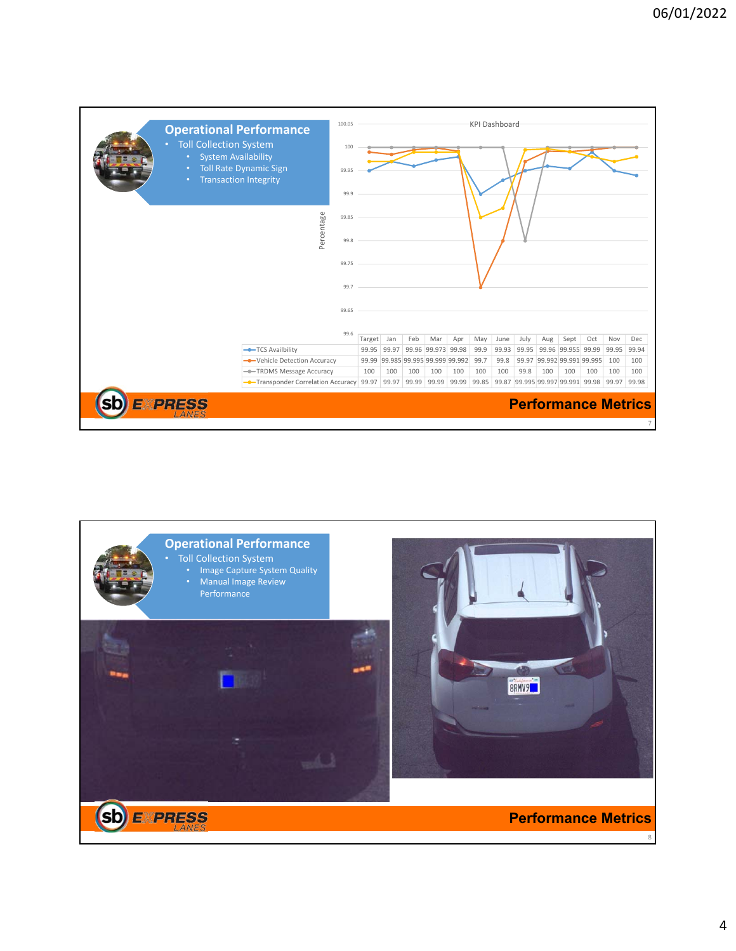

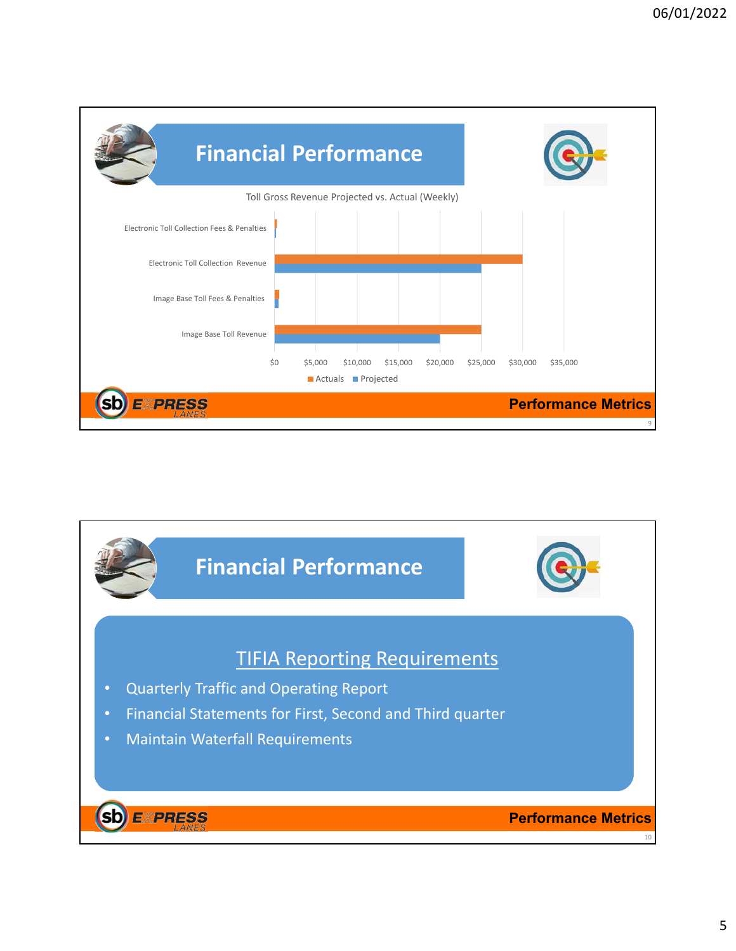